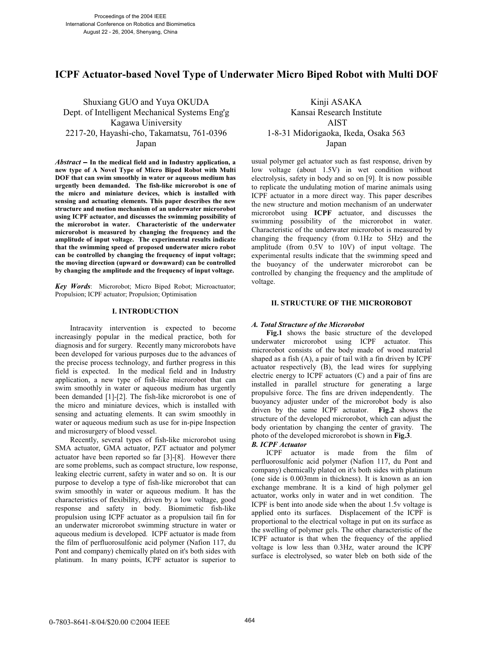# **ICPF Actuator-based Novel Type of Underwater Micro Biped Robot with Multi DOF**

Shuxiang GUO and Yuya OKUDA Kinji ASAKA Dept. of Intelligent Mechanical Systems Eng'g Kansai Research Institute Kagawa Uiniversity AIST 2217-20, Hayashi-cho, Takamatsu, 761-0396 1-8-31 Midorigaoka, Ikeda, Osaka 563 Japan Japan

*Abstract* − **In the medical field and in Industry application, a new type of A Novel Type of Micro Biped Robot with Multi DOF that can swim smoothly in water or aqueous medium has urgently been demanded. The fish-like microrobot is one of the micro and miniature devices, which is installed with sensing and actuating elements. This paper describes the new structure and motion mechanism of an underwater microrobot using ICPF actuator, and discusses the swimming possibility of the microrobot in water. Characteristic of the underwater microrobot is measured by changing the frequency and the amplitude of input voltage. The experimental results indicate that the swimming speed of proposed underwater micro robot can be controlled by changing the frequency of input voltage; the moving direction (upward or downward) can be controlled by changing the amplitude and the frequency of input voltage.** 

*Key Words*: Microrobot; Micro Biped Robot; Microactuator; Propulsion; ICPF actuator; Propulsion; Optimisation

#### **I. INTRODUCTION**

Intracavity intervention is expected to become increasingly popular in the medical practice, both for diagnosis and for surgery. Recently many microrobots have been developed for various purposes due to the advances of the precise process technology, and further progress in this field is expected. In the medical field and in Industry application, a new type of fish-like microrobot that can swim smoothly in water or aqueous medium has urgently been demanded [1]-[2]. The fish-like microrobot is one of the micro and miniature devices, which is installed with sensing and actuating elements. It can swim smoothly in water or aqueous medium such as use for in-pipe Inspection and microsurgery of blood vessel.

Recently, several types of fish-like microrobot using SMA actuator, GMA actuator, PZT actuator and polymer actuator have been reported so far [3]-[8]. However there are some problems, such as compact structure, low response, leaking electric current, safety in water and so on. It is our purpose to develop a type of fish-like microrobot that can swim smoothly in water or aqueous medium. It has the characteristics of flexibility, driven by a low voltage, good response and safety in body. Biomimetic fish-like propulsion using ICPF actuator as a propulsion tail fin for an underwater microrobot swimming structure in water or aqueous medium is developed. ICPF actuator is made from the film of perfluorosulfonic acid polymer (Nafion 117, du Pont and company) chemically plated on it's both sides with platinum. In many points, ICPF actuator is superior to

usual polymer gel actuator such as fast response, driven by low voltage (about 1.5V) in wet condition without electrolysis, safety in body and so on [9]. It is now possible to replicate the undulating motion of marine animals using ICPF actuator in a more direct way. This paper describes the new structure and motion mechanism of an underwater microrobot using **ICPF** actuator, and discusses the swimming possibility of the microrobot in water. Characteristic of the underwater microrobot is measured by changing the frequency (from 0.1Hz to 5Hz) and the amplitude (from 0.5V to 10V) of input voltage. The experimental results indicate that the swimming speed and the buoyancy of the underwater microrobot can be controlled by changing the frequency and the amplitude of voltage.

#### **II. STRUCTURE OF THE MICROROBOT**

#### *A. Total Structure of the Microrobot*

**Fig.1** shows the basic structure of the developed underwater microrobot using ICPF actuator. This microrobot consists of the body made of wood material shaped as a fish (A), a pair of tail with a fin driven by ICPF actuator respectively (B), the lead wires for supplying electric energy to ICPF actuators (C) and a pair of fins are installed in parallel structure for generating a large propulsive force. The fins are driven independently. The buoyancy adjuster under of the microrobot body is also driven by the same ICPF actuator. **Fig.2** shows the structure of the developed microrobot, which can adjust the body orientation by changing the center of gravity. The photo of the developed microrobot is shown in **Fig.3**.

#### *B. ICPF Actuator*

ICPF actuator is made from the film of perfluorosulfonic acid polymer (Nafion 117, du Pont and company) chemically plated on it's both sides with platinum (one side is 0.003mm in thickness). It is known as an ion exchange membrane. It is a kind of high polymer gel actuator, works only in water and in wet condition. The ICPF is bent into anode side when the about 1.5v voltage is applied onto its surfaces. Displacement of the ICPF is proportional to the electrical voltage in put on its surface as the swelling of polymer gels. The other characteristic of the ICPF actuator is that when the frequency of the applied voltage is low less than 0.3Hz, water around the ICPF surface is electrolysed, so water bleb on both side of the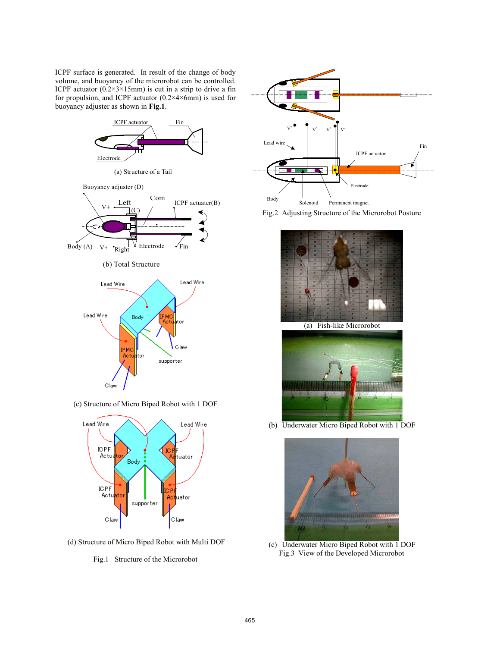ICPF surface is generated. In result of the change of body volume, and buoyancy of the microrobot can be controlled. ICPF actuator  $(0.2 \times 3 \times 15)$  is cut in a strip to drive a fin for propulsion, and ICPF actuator (0.2×4×6mm) is used for buoyancy adjuster as shown in **Fig.1**.



(c) Structure of Micro Biped Robot with 1 DOF



(d) Structure of Micro Biped Robot with Multi DOF











(b) Underwater Micro Biped Robot with 1 DOF



(c) Underwater Micro Biped Robot with 1 DOF Fig.3 View of the Developed Microrobot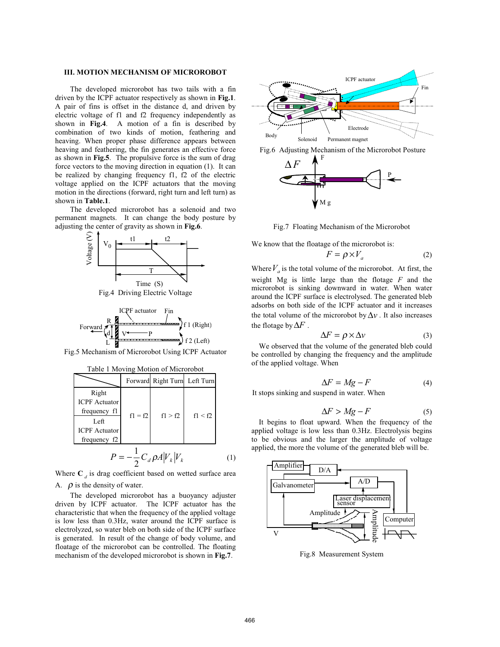#### **III. MOTION MECHANISM OF MICROROBOT**

The developed microrobot has two tails with a fin driven by the ICPF actuator respectively as shown in **Fig.1**. A pair of fins is offset in the distance d, and driven by electric voltage of f1 and f2 frequency independently as shown in **Fig.4**. A motion of a fin is described by combination of two kinds of motion, feathering and heaving. When proper phase difference appears between heaving and feathering, the fin generates an effective force as shown in **Fig.5**. The propulsive force is the sum of drag force vectors to the moving direction in equation (1). It can be realized by changing frequency f1, f2 of the electric voltage applied on the ICPF actuators that the moving motion in the directions (forward, right turn and left turn) as shown in **Table.1**.

The developed microrobot has a solenoid and two permanent magnets. It can change the body posture by adjusting the center of gravity as shown in **Fig.6**.



Fig.4 Driving Electric Voltage



Fig.5 Mechanism of Microrobot Using ICPF Actuator

Where  $C_d$  is drag coefficient based on wetted surface area A.  $\rho$  is the density of water.

The developed microrobot has a buoyancy adjuster driven by ICPF actuator. The ICPF actuator has the characteristic that when the frequency of the applied voltage is low less than 0.3Hz, water around the ICPF surface is electrolyzed, so water bleb on both side of the ICPF surface is generated. In result of the change of body volume, and floatage of the microrobot can be controlled. The floating mechanism of the developed microrobot is shown in **Fig.7**.







Fig.7 Floating Mechanism of the Microrobot

We know that the floatage of the microrobot is:

$$
F = \rho \times V_a \tag{2}
$$

Where  $V_a$  is the total volume of the microrobot. At first, the weight Mg is little large than the flotage *F* and the microrobot is sinking downward in water. When water around the ICPF surface is electrolysed. The generated bleb adsorbs on both side of the ICPF actuator and it increases the total volume of the microrobot by  $\Delta v$ . It also increases the flotage by  $\Delta F$  .

$$
\Delta F = \rho \times \Delta v \tag{3}
$$

We observed that the volume of the generated bleb could be controlled by changing the frequency and the amplitude of the applied voltage. When

$$
\Delta F = Mg - F \tag{4}
$$

It stops sinking and suspend in water. When

$$
\Delta F > Mg - F \tag{5}
$$

It begins to float upward. When the frequency of the applied voltage is low less than 0.3Hz. Electrolysis begins to be obvious and the larger the amplitude of voltage applied, the more the volume of the generated bleb will be.



Fig.8 Measurement System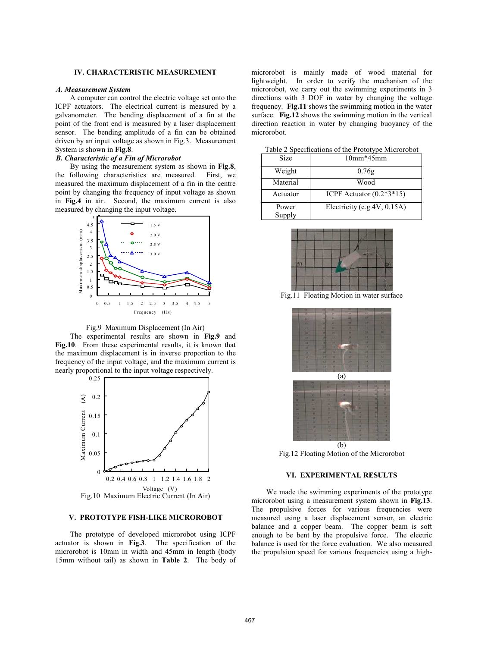## **IV. CHARACTERISTIC MEASUREMENT**

#### *A. Measurement System*

A computer can control the electric voltage set onto the ICPF actuators. The electrical current is measured by a galvanometer. The bending displacement of a fin at the point of the front end is measured by a laser displacement sensor. The bending amplitude of a fin can be obtained driven by an input voltage as shown in Fig.3. Measurement System is shown in **Fig.8**.

## *B. Characteristic of a Fin of Microrobot*

By using the measurement system as shown in **Fig.8**, the following characteristics are measured. First, we measured the maximum displacement of a fin in the centre point by changing the frequency of input voltage as shown in **Fig.4** in air. Second, the maximum current is also measured by changing the input voltage.



Fig.9 Maximum Displacement (In Air)

The experimental results are shown in **Fig.9** and **Fig.10**. From these experimental results, it is known that the maximum displacement is in inverse proportion to the frequency of the input voltage, and the maximum current is nearly proportional to the input voltage respectively.



#### **V. PROTOTYPE FISH-LIKE MICROROBOT**

The prototype of developed microrobot using ICPF actuator is shown in **Fig.3**. The specification of the microrobot is 10mm in width and 45mm in length (body 15mm without tail) as shown in **Table 2**. The body of microrobot is mainly made of wood material for lightweight. In order to verify the mechanism of the microrobot, we carry out the swimming experiments in 3 directions with 3 DOF in water by changing the voltage frequency. **Fig.11** shows the swimming motion in the water surface. **Fig.12** shows the swimming motion in the vertical direction reaction in water by changing buoyancy of the microrobot.

Table 2 Specifications of the Prototype Microrobot

| <b>Size</b>     | $10mm*45mm$                  |
|-----------------|------------------------------|
| Weight          | 0.76g                        |
| Material        | Wood                         |
| Actuator        | ICPF Actuator $(0.2*3*15)$   |
| Power<br>Supply | Electricity (e.g. 4V, 0.15A) |



Fig.11 Floating Motion in water surface



Fig.12 Floating Motion of the Microrobot

#### **VI. EXPERIMENTAL RESULTS**

We made the swimming experiments of the prototype microrobot using a measurement system shown in **Fig.13**. The propulsive forces for various frequencies were measured using a laser displacement sensor, an electric balance and a copper beam. The copper beam is soft enough to be bent by the propulsive force. The electric balance is used for the force evaluation. We also measured the propulsion speed for various frequencies using a high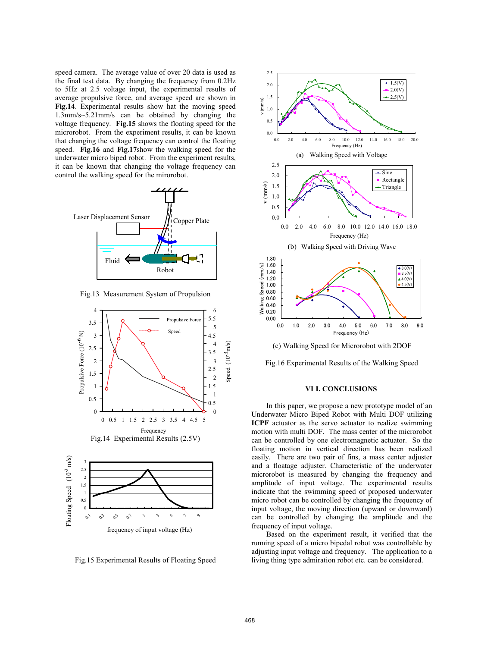speed camera. The average value of over 20 data is used as the final test data. By changing the frequency from 0.2Hz to 5Hz at 2.5 voltage input, the experimental results of average propulsive force, and average speed are shown in **Fig.14**. Experimental results show hat the moving speed 1.3mm/s~5.21mm/s can be obtained by changing the voltage frequency. **Fig.15** shows the floating speed for the microrobot. From the experiment results, it can be known that changing the voltage frequency can control the floating speed. **Fig.16** and **Fig.17**show the walking speed for the underwater micro biped robot. From the experiment results, it can be known that changing the voltage frequency can control the walking speed for the mirorobot.



Fig.13 Measurement System of Propulsion



Fig.15 Experimental Results of Floating Speed



Fig.16 Experimental Results of the Walking Speed

#### **VI I. CONCLUSIONS**

In this paper, we propose a new prototype model of an Underwater Micro Biped Robot with Multi DOF utilizing **ICPF** actuator as the servo actuator to realize swimming motion with multi DOF. The mass center of the microrobot can be controlled by one electromagnetic actuator. So the floating motion in vertical direction has been realized easily. There are two pair of fins, a mass center adjuster and a floatage adjuster. Characteristic of the underwater microrobot is measured by changing the frequency and amplitude of input voltage. The experimental results indicate that the swimming speed of proposed underwater micro robot can be controlled by changing the frequency of input voltage, the moving direction (upward or downward) can be controlled by changing the amplitude and the frequency of input voltage.

Based on the experiment result, it verified that the running speed of a micro bipedal robot was controllable by adjusting input voltage and frequency. The application to a living thing type admiration robot etc. can be considered.